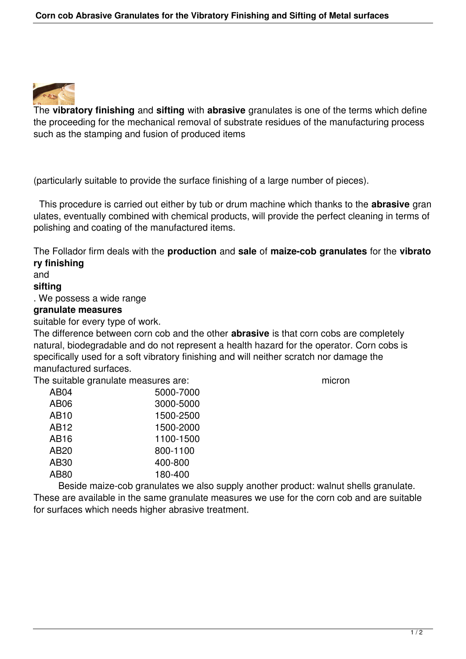

The **vibratory finishing** and **sifting** with **abrasive** granulates is one of the terms which define the proceeding for the mechanical removal of substrate residues of the manufacturing process such as the stamping and fusion of produced items

(particularly suitable to provide the surface finishing of a large number of pieces).

 This procedure is carried out either by tub or drum machine which thanks to the **abrasive** gran ulates, eventually combined with chemical products, will provide the perfect cleaning in terms of polishing and coating of the manufactured items.

The Follador firm deals with the **production** and **sale** of **maize-cob granulates** for the **vibrato ry finishing** 

## and

## **sifting**

. We possess a wide range

## **granulate measures**

suitable for every type of work.

The difference between corn cob and the other **abrasive** is that corn cobs are completely natural, biodegradable and do not represent a health hazard for the operator. Corn cobs is specifically used for a soft vibratory finishing and will neither scratch nor damage the manufactured surfaces.

The suitable granulate measures are: micron

 AB04 5000-7000 AB06 3000-5000 AB10 1500-2500 AB12 1500-2000 AB16 1100-1500 AB20 800-1100 AB30 400-800 AB80 180-400

 Beside maize-cob granulates we also supply another product: walnut shells granulate. These are available in the same granulate measures we use for the corn cob and are suitable for surfaces which needs higher abrasive treatment.